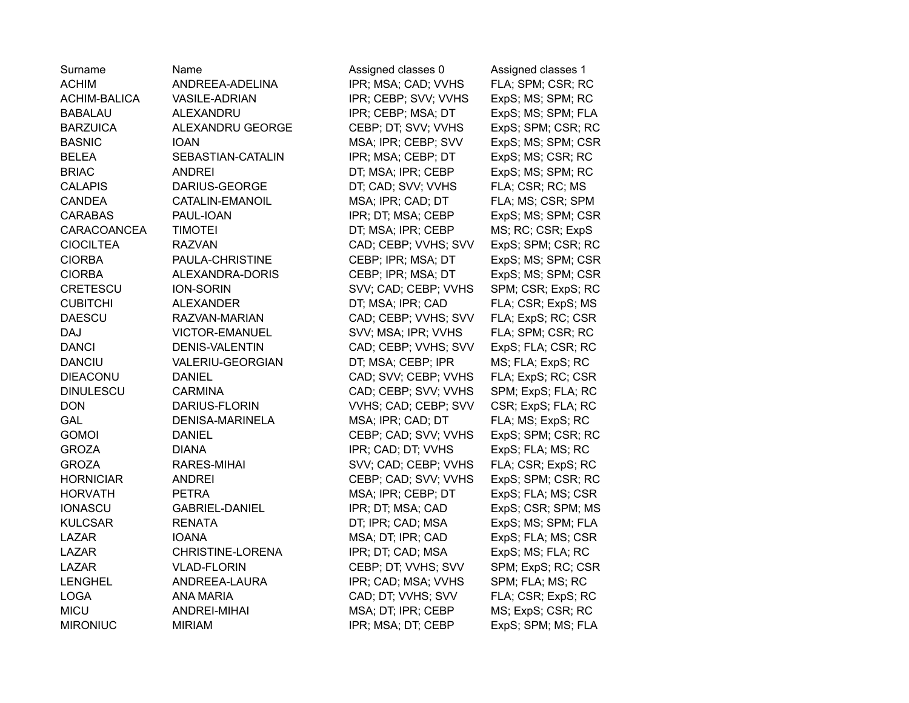| Surname          | Name                   | Assigned classes 0   | Assigned classes 1 |
|------------------|------------------------|----------------------|--------------------|
| <b>ACHIM</b>     | ANDREEA-ADELINA        | IPR; MSA; CAD; VVHS  | FLA; SPM; CSR; RC  |
| ACHIM-BALICA     | <b>VASILE-ADRIAN</b>   | IPR; CEBP; SVV; VVHS | ExpS; MS; SPM; RC  |
| <b>BABALAU</b>   | <b>ALEXANDRU</b>       | IPR; CEBP; MSA; DT   | ExpS; MS; SPM; FLA |
| <b>BARZUICA</b>  | ALEXANDRU GEORGE       | CEBP; DT; SVV; VVHS  | ExpS; SPM; CSR; RC |
| <b>BASNIC</b>    | <b>IOAN</b>            | MSA; IPR; CEBP; SVV  | ExpS; MS; SPM; CSR |
| <b>BELEA</b>     | SEBASTIAN-CATALIN      | IPR; MSA; CEBP; DT   | ExpS; MS; CSR; RC  |
| <b>BRIAC</b>     | <b>ANDREI</b>          | DT; MSA; IPR; CEBP   | ExpS; MS; SPM; RC  |
| <b>CALAPIS</b>   | DARIUS-GEORGE          | DT; CAD; SVV; VVHS   | FLA; CSR; RC; MS   |
| <b>CANDEA</b>    | CATALIN-EMANOIL        | MSA; IPR; CAD; DT    | FLA; MS; CSR; SPM  |
| <b>CARABAS</b>   | PAUL-IOAN              | IPR; DT; MSA; CEBP   | ExpS; MS; SPM; CSR |
| CARACOANCEA      | <b>TIMOTEI</b>         | DT; MSA; IPR; CEBP   | MS; RC; CSR; ExpS  |
| <b>CIOCILTEA</b> | <b>RAZVAN</b>          | CAD; CEBP; VVHS; SVV | ExpS; SPM; CSR; RC |
| <b>CIORBA</b>    | PAULA-CHRISTINE        | CEBP; IPR; MSA; DT   | ExpS; MS; SPM; CSR |
| <b>CIORBA</b>    | ALEXANDRA-DORIS        | CEBP; IPR; MSA; DT   | ExpS; MS; SPM; CSR |
| CRETESCU         | <b>ION-SORIN</b>       | SVV; CAD; CEBP; VVHS | SPM; CSR; ExpS; RC |
| <b>CUBITCHI</b>  | <b>ALEXANDER</b>       | DT; MSA; IPR; CAD    | FLA; CSR; ExpS; MS |
| <b>DAESCU</b>    | RAZVAN-MARIAN          | CAD; CEBP; VVHS; SVV | FLA; ExpS; RC; CSR |
| <b>DAJ</b>       | <b>VICTOR-EMANUEL</b>  | SVV; MSA; IPR; VVHS  | FLA; SPM; CSR; RC  |
| <b>DANCI</b>     | <b>DENIS-VALENTIN</b>  | CAD; CEBP; VVHS; SVV | ExpS; FLA; CSR; RC |
| <b>DANCIU</b>    | VALERIU-GEORGIAN       | DT; MSA; CEBP; IPR   | MS; FLA; ExpS; RC  |
| <b>DIEACONU</b>  | <b>DANIEL</b>          | CAD; SVV; CEBP; VVHS | FLA; ExpS; RC; CSR |
| <b>DINULESCU</b> | <b>CARMINA</b>         | CAD; CEBP; SVV; VVHS | SPM; ExpS; FLA; RC |
| <b>DON</b>       | DARIUS-FLORIN          | VVHS; CAD; CEBP; SVV | CSR; ExpS; FLA; RC |
| GAL              | <b>DENISA-MARINELA</b> | MSA; IPR; CAD; DT    | FLA; MS; ExpS; RC  |
| <b>GOMOI</b>     | <b>DANIEL</b>          | CEBP; CAD; SVV; VVHS | ExpS; SPM; CSR; RC |
| <b>GROZA</b>     | <b>DIANA</b>           | IPR; CAD; DT; VVHS   | ExpS; FLA; MS; RC  |
| <b>GROZA</b>     | <b>RARES-MIHAI</b>     | SVV; CAD; CEBP; VVHS | FLA; CSR; ExpS; RC |
| <b>HORNICIAR</b> | <b>ANDREI</b>          | CEBP; CAD; SVV; VVHS | ExpS; SPM; CSR; RC |
| <b>HORVATH</b>   | <b>PETRA</b>           | MSA; IPR; CEBP; DT   | ExpS; FLA; MS; CSR |
| <b>IONASCU</b>   | <b>GABRIEL-DANIEL</b>  | IPR; DT; MSA; CAD    | ExpS; CSR; SPM; MS |
| <b>KULCSAR</b>   | <b>RENATA</b>          | DT; IPR; CAD; MSA    | ExpS; MS; SPM; FLA |
| <b>LAZAR</b>     | <b>IOANA</b>           | MSA; DT; IPR; CAD    | ExpS; FLA; MS; CSR |
| <b>LAZAR</b>     | CHRISTINE-LORENA       | IPR; DT; CAD; MSA    | ExpS; MS; FLA; RC  |
| <b>LAZAR</b>     | <b>VLAD-FLORIN</b>     | CEBP; DT; VVHS; SVV  | SPM; ExpS; RC; CSR |
| <b>LENGHEL</b>   | ANDREEA-LAURA          | IPR; CAD; MSA; VVHS  | SPM; FLA; MS; RC   |
| <b>LOGA</b>      | <b>ANA MARIA</b>       | CAD; DT; VVHS; SVV   | FLA; CSR; ExpS; RC |
| <b>MICU</b>      | <b>ANDREI-MIHAI</b>    | MSA; DT; IPR; CEBP   | MS; ExpS; CSR; RC  |
| <b>MIRONIUC</b>  | <b>MIRIAM</b>          | IPR; MSA; DT; CEBP   | ExpS; SPM; MS; FLA |
|                  |                        |                      |                    |